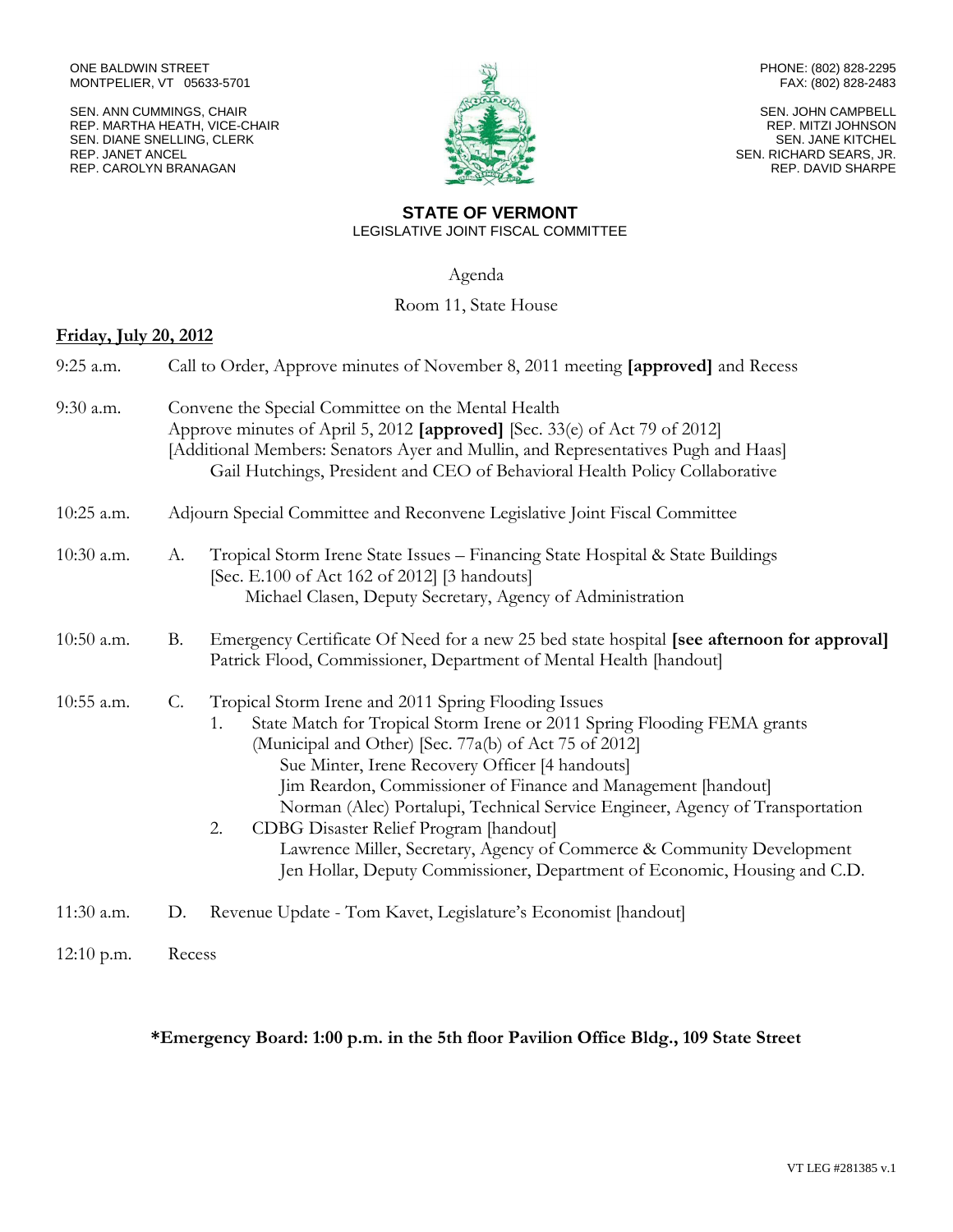SEN. ANN CUMMINGS, CHAIR REP. MARTHA HEATH, VICE-CHAIR SEN. DIANE SNELLING, CLERK REP. JANET ANCEL REP. CAROLYN BRANAGAN



PHONE: (802) 828-2295 FAX: (802) 828-2483

SEN. JOHN CAMPBELL REP. MITZI JOHNSON SEN. JANE KITCHEL SEN. RICHARD SEARS, JR. REP. DAVID SHARPE

#### **STATE OF VERMONT** LEGISLATIVE JOINT FISCAL COMMITTEE

Agenda

# Room 11, State House

## **Friday, July 20, 2012**

| 9:25 a.m.    |    | Call to Order, Approve minutes of November 8, 2011 meeting [approved] and Recess                                                                                                                                                                                                                                                                                                                                                                                                                                                                                                                            |  |
|--------------|----|-------------------------------------------------------------------------------------------------------------------------------------------------------------------------------------------------------------------------------------------------------------------------------------------------------------------------------------------------------------------------------------------------------------------------------------------------------------------------------------------------------------------------------------------------------------------------------------------------------------|--|
| 9:30 a.m.    |    | Convene the Special Committee on the Mental Health<br>Approve minutes of April 5, 2012 [approved] [Sec. 33(e) of Act 79 of 2012]<br>[Additional Members: Senators Ayer and Mullin, and Representatives Pugh and Haas]<br>Gail Hutchings, President and CEO of Behavioral Health Policy Collaborative                                                                                                                                                                                                                                                                                                        |  |
| 10:25 a.m.   |    | Adjourn Special Committee and Reconvene Legislative Joint Fiscal Committee                                                                                                                                                                                                                                                                                                                                                                                                                                                                                                                                  |  |
| $10:30$ a.m. | A. | Tropical Storm Irene State Issues - Financing State Hospital & State Buildings<br>[Sec. E.100 of Act 162 of 2012] [3 handouts]<br>Michael Clasen, Deputy Secretary, Agency of Administration                                                                                                                                                                                                                                                                                                                                                                                                                |  |
| $10:50$ a.m. | В. | Emergency Certificate Of Need for a new 25 bed state hospital [see afternoon for approval]<br>Patrick Flood, Commissioner, Department of Mental Health [handout]                                                                                                                                                                                                                                                                                                                                                                                                                                            |  |
| 10:55 a.m.   | C. | Tropical Storm Irene and 2011 Spring Flooding Issues<br>State Match for Tropical Storm Irene or 2011 Spring Flooding FEMA grants<br>1.<br>(Municipal and Other) [Sec. 77a(b) of Act 75 of 2012]<br>Sue Minter, Irene Recovery Officer [4 handouts]<br>Jim Reardon, Commissioner of Finance and Management [handout]<br>Norman (Alec) Portalupi, Technical Service Engineer, Agency of Transportation<br>CDBG Disaster Relief Program [handout]<br>2.<br>Lawrence Miller, Secretary, Agency of Commerce & Community Development<br>Jen Hollar, Deputy Commissioner, Department of Economic, Housing and C.D. |  |
| 11:30 a.m.   | D. | Revenue Update - Tom Kavet, Legislature's Economist [handout]                                                                                                                                                                                                                                                                                                                                                                                                                                                                                                                                               |  |
| $12:10$ p.m. |    | Recess                                                                                                                                                                                                                                                                                                                                                                                                                                                                                                                                                                                                      |  |

# **\*Emergency Board: 1:00 p.m. in the 5th floor Pavilion Office Bldg., 109 State Street**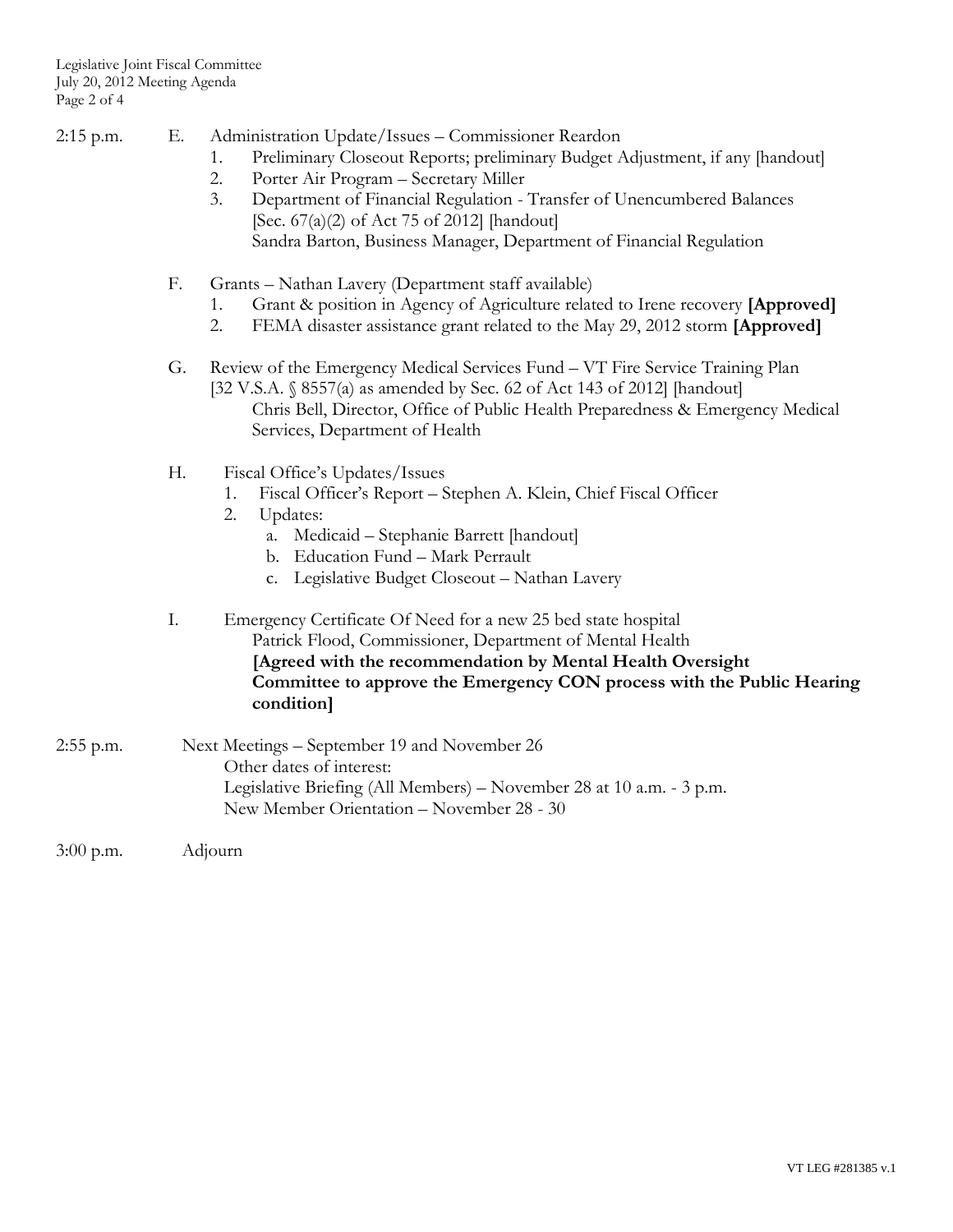- 2:15 p.m. E. Administration Update/Issues Commissioner Reardon
	- 1. Preliminary Closeout Reports; preliminary Budget Adjustment, if any [handout]
	- 2. Porter Air Program Secretary Miller
	- 3. Department of Financial Regulation Transfer of Unencumbered Balances [Sec. 67(a)(2) of Act 75 of 2012] [handout] Sandra Barton, Business Manager, Department of Financial Regulation
	- F. Grants Nathan Lavery (Department staff available)
		- 1. Grant & position in Agency of Agriculture related to Irene recovery **[Approved]**
		- 2. FEMA disaster assistance grant related to the May 29, 2012 storm **[Approved]**
	- G. Review of the Emergency Medical Services Fund VT Fire Service Training Plan [32 V.S.A. § 8557(a) as amended by Sec. 62 of Act 143 of 2012] [handout] Chris Bell, Director, Office of Public Health Preparedness & Emergency Medical Services, Department of Health
	- H. Fiscal Office's Updates/Issues
		- 1. Fiscal Officer's Report Stephen A. Klein, Chief Fiscal Officer
		- 2. Updates:
			- a. Medicaid Stephanie Barrett [handout]
			- b. Education Fund Mark Perrault
			- c. Legislative Budget Closeout Nathan Lavery
	- I. Emergency Certificate Of Need for a new 25 bed state hospital Patrick Flood, Commissioner, Department of Mental Health **[Agreed with the recommendation by Mental Health Oversight Committee to approve the Emergency CON process with the Public Hearing condition]**
- 2:55 p.m. Next Meetings September 19 and November 26 Other dates of interest: Legislative Briefing (All Members) – November 28 at 10 a.m. - 3 p.m. New Member Orientation – November 28 - 30
- 3:00 p.m. Adjourn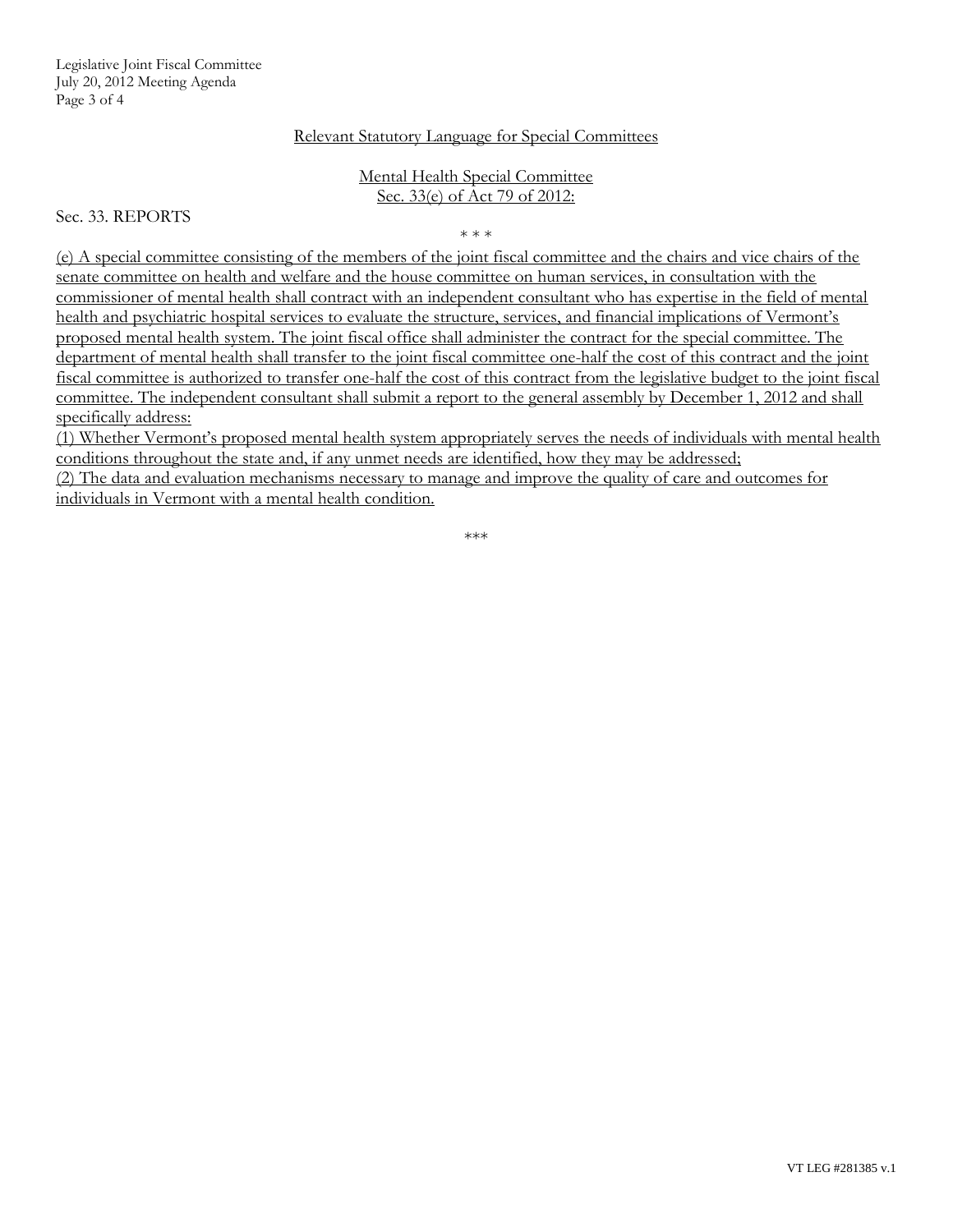#### Relevant Statutory Language for Special Committees

#### Mental Health Special Committee Sec. 33(e) of Act 79 of 2012:

Sec. 33. REPORTS

\* \* \*

(e) A special committee consisting of the members of the joint fiscal committee and the chairs and vice chairs of the senate committee on health and welfare and the house committee on human services, in consultation with the commissioner of mental health shall contract with an independent consultant who has expertise in the field of mental health and psychiatric hospital services to evaluate the structure, services, and financial implications of Vermont's proposed mental health system. The joint fiscal office shall administer the contract for the special committee. The department of mental health shall transfer to the joint fiscal committee one-half the cost of this contract and the joint fiscal committee is authorized to transfer one-half the cost of this contract from the legislative budget to the joint fiscal committee. The independent consultant shall submit a report to the general assembly by December 1, 2012 and shall specifically address:

(1) Whether Vermont's proposed mental health system appropriately serves the needs of individuals with mental health conditions throughout the state and, if any unmet needs are identified, how they may be addressed; (2) The data and evaluation mechanisms necessary to manage and improve the quality of care and outcomes for individuals in Vermont with a mental health condition.

\*\*\*